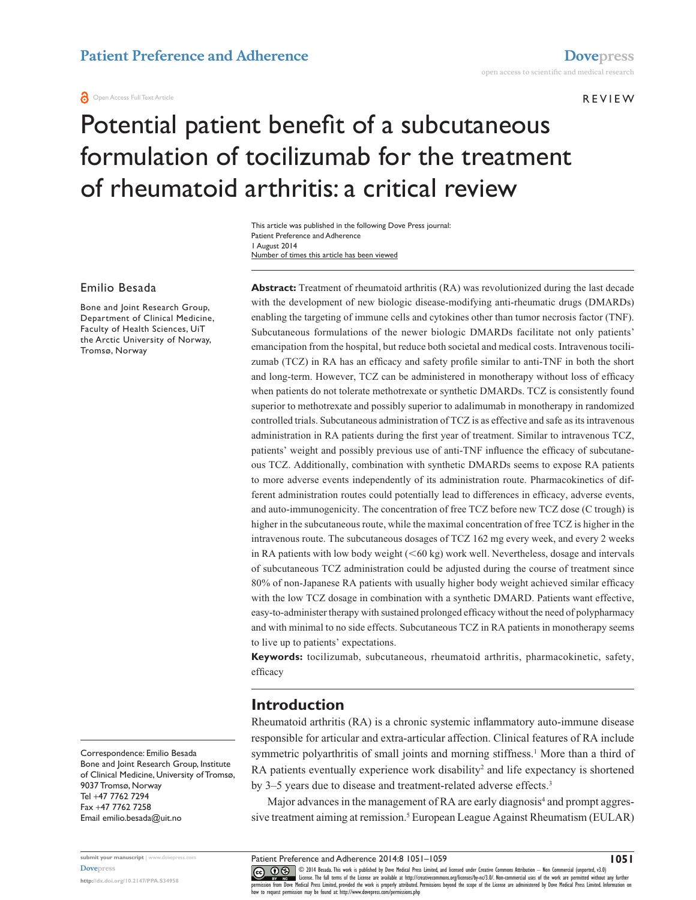#### Review

# Potential patient benefit of a subcutaneous formulation of tocilizumab for the treatment of rheumatoid arthritis: a critical review

Number of times this article has been viewed This article was published in the following Dove Press journal: Patient Preference and Adherence 1 August 2014

#### Emilio Besada

Bone and Joint Research Group, Department of Clinical Medicine, Faculty of Health Sciences, UiT the Arctic University of Norway, Tromsø, Norway

**Abstract:** Treatment of rheumatoid arthritis (RA) was revolutionized during the last decade with the development of new biologic disease-modifying anti-rheumatic drugs (DMARDs) enabling the targeting of immune cells and cytokines other than tumor necrosis factor (TNF). Subcutaneous formulations of the newer biologic DMARDs facilitate not only patients' emancipation from the hospital, but reduce both societal and medical costs. Intravenous tocilizumab (TCZ) in RA has an efficacy and safety profile similar to anti-TNF in both the short and long-term. However, TCZ can be administered in monotherapy without loss of efficacy when patients do not tolerate methotrexate or synthetic DMARDs. TCZ is consistently found superior to methotrexate and possibly superior to adalimumab in monotherapy in randomized controlled trials. Subcutaneous administration of TCZ is as effective and safe as its intravenous administration in RA patients during the first year of treatment. Similar to intravenous TCZ, patients' weight and possibly previous use of anti-TNF influence the efficacy of subcutaneous TCZ. Additionally, combination with synthetic DMARDs seems to expose RA patients to more adverse events independently of its administration route. Pharmacokinetics of different administration routes could potentially lead to differences in efficacy, adverse events, and auto-immunogenicity. The concentration of free TCZ before new TCZ dose (C trough) is higher in the subcutaneous route, while the maximal concentration of free TCZ is higher in the intravenous route. The subcutaneous dosages of TCZ 162 mg every week, and every 2 weeks in RA patients with low body weight  $( $60 \text{ kg}$ )$  work well. Nevertheless, dosage and intervals of subcutaneous TCZ administration could be adjusted during the course of treatment since 80% of non-Japanese RA patients with usually higher body weight achieved similar efficacy with the low TCZ dosage in combination with a synthetic DMARD. Patients want effective, easy-to-administer therapy with sustained prolonged efficacy without the need of polypharmacy and with minimal to no side effects. Subcutaneous TCZ in RA patients in monotherapy seems to live up to patients' expectations.

**Keywords:** tocilizumab, subcutaneous, rheumatoid arthritis, pharmacokinetic, safety, efficacy

### **Introduction**

Rheumatoid arthritis (RA) is a chronic systemic inflammatory auto-immune disease responsible for articular and extra-articular affection. Clinical features of RA include symmetric polyarthritis of small joints and morning stiffness.<sup>1</sup> More than a third of RA patients eventually experience work disability<sup>2</sup> and life expectancy is shortened by 3–5 years due to disease and treatment-related adverse effects.<sup>3</sup>

Major advances in the management of RA are early diagnosis<sup>4</sup> and prompt aggressive treatment aiming at remission.<sup>5</sup> European League Against Rheumatism (EULAR)

Correspondence: Emilio Besada Bone and Joint Research Group, Institute of Clinical Medicine, University of Tromsø, 9037 Tromsø, Norway Tel +47 7762 7294 Fax +47 7762 7258 Email [emilio.besada@uit.no](mailto:emilio.besada@uit.no)

**submit your manuscript** | <www.dovepress.com> **[Dovepress](www.dovepress.com) <http://dx.doi.org/10.2147/PPA.S34958>**

Patient Preference and Adherence 2014:8 1051–1059

**1051**

CO ODI 4 Besada. This work is published by Dove Medical Press Limited, and licensed under Creative Commons Attribution - Non Commercial (unported, v3.0)<br> [permission from Dove M](http://www.dovepress.com/permissions.php)edical Press Limited, provided the work is pro how to request permission may be found at: http://www.dovepress.com/permissions.php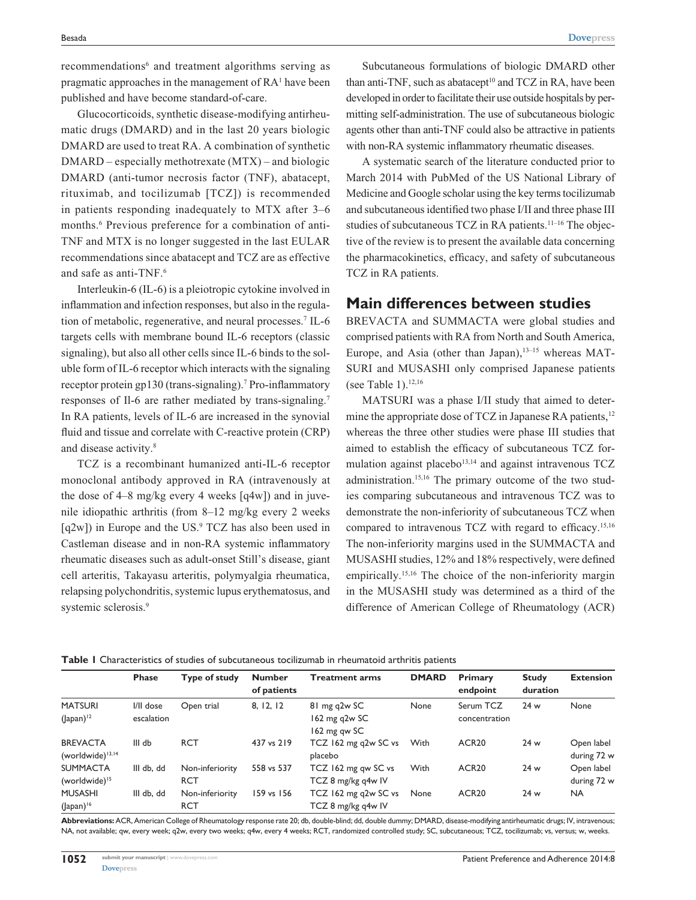recommendations<sup>6</sup> and treatment algorithms serving as pragmatic approaches in the management of RA<sup>1</sup> have been published and have become standard-of-care.

Glucocorticoids, synthetic disease-modifying antirheumatic drugs (DMARD) and in the last 20 years biologic DMARD are used to treat RA. A combination of synthetic DMARD – especially methotrexate (MTX) – and biologic DMARD (anti-tumor necrosis factor (TNF), abatacept, rituximab, and tocilizumab [TCZ]) is recommended in patients responding inadequately to MTX after 3–6 months.<sup>6</sup> Previous preference for a combination of anti-TNF and MTX is no longer suggested in the last EULAR recommendations since abatacept and TCZ are as effective and safe as anti-TNF.6

Interleukin-6 (IL-6) is a pleiotropic cytokine involved in inflammation and infection responses, but also in the regulation of metabolic, regenerative, and neural processes.<sup>7</sup> IL-6 targets cells with membrane bound IL-6 receptors (classic signaling), but also all other cells since IL-6 binds to the soluble form of IL-6 receptor which interacts with the signaling receptor protein gp130 (trans-signaling).<sup>7</sup> Pro-inflammatory responses of Il-6 are rather mediated by trans-signaling.7 In RA patients, levels of IL-6 are increased in the synovial fluid and tissue and correlate with C-reactive protein (CRP) and disease activity.8

TCZ is a recombinant humanized anti-IL-6 receptor monoclonal antibody approved in RA (intravenously at the dose of 4–8 mg/kg every 4 weeks [q4w]) and in juvenile idiopathic arthritis (from 8–12 mg/kg every 2 weeks  $[q2w]$ ) in Europe and the US. $9$  TCZ has also been used in Castleman disease and in non-RA systemic inflammatory rheumatic diseases such as adult-onset Still's disease, giant cell arteritis, Takayasu arteritis, polymyalgia rheumatica, relapsing polychondritis, systemic lupus erythematosus, and systemic sclerosis.<sup>9</sup>

Subcutaneous formulations of biologic DMARD other than anti-TNF, such as abatacept<sup>10</sup> and TCZ in RA, have been developed in order to facilitate their use outside hospitals by permitting self-administration. The use of subcutaneous biologic agents other than anti-TNF could also be attractive in patients with non-RA systemic inflammatory rheumatic diseases.

A systematic search of the literature conducted prior to March 2014 with PubMed of the US National Library of Medicine and Google scholar using the key terms tocilizumab and subcutaneous identified two phase I/II and three phase III studies of subcutaneous TCZ in RA patients.<sup>11-16</sup> The objective of the review is to present the available data concerning the pharmacokinetics, efficacy, and safety of subcutaneous TCZ in RA patients.

#### **Main differences between studies**

BREVACTA and SUMMACTA were global studies and comprised patients with RA from North and South America, Europe, and Asia (other than Japan), $13-15$  whereas MAT-SURI and MUSASHI only comprised Japanese patients (see Table 1). $12,16$ 

MATSURI was a phase I/II study that aimed to determine the appropriate dose of TCZ in Japanese RA patients,<sup>12</sup> whereas the three other studies were phase III studies that aimed to establish the efficacy of subcutaneous TCZ formulation against placebo $13,14$  and against intravenous TCZ administration.15,16 The primary outcome of the two studies comparing subcutaneous and intravenous TCZ was to demonstrate the non-inferiority of subcutaneous TCZ when compared to intravenous TCZ with regard to efficacy.15,16 The non-inferiority margins used in the SUMMACTA and MUSASHI studies, 12% and 18% respectively, were defined empirically.<sup>15,16</sup> The choice of the non-inferiority margin in the MUSASHI study was determined as a third of the difference of American College of Rheumatology (ACR)

| <b>Table I</b> Characteristics of studies of subcutaneous tocilizumab in rheumatoid arthritis patients |  |
|--------------------------------------------------------------------------------------------------------|--|
|--------------------------------------------------------------------------------------------------------|--|

|                              | <b>Phase</b> | <b>Type of study</b> | <b>Number</b><br>of patients | <b>Treatment arms</b> | <b>DMARD</b> | Primary<br>endpoint | <b>Study</b><br>duration | <b>Extension</b> |
|------------------------------|--------------|----------------------|------------------------------|-----------------------|--------------|---------------------|--------------------------|------------------|
| <b>MATSURI</b>               | I/II dose    | Open trial           | 8, 12, 12                    | 81 mg q2w SC          | None         | Serum TCZ           | 24 w                     | None             |
| $(lapan)^{12}$               | escalation   |                      |                              | 162 mg q $2w$ SC      |              | concentration       |                          |                  |
|                              |              |                      |                              | 162 mg gw SC          |              |                     |                          |                  |
| <b>BREVACTA</b>              | III db       | <b>RCT</b>           | 437 vs 219                   | TCZ 162 mg q2w SC vs  | With         | ACR <sub>20</sub>   | 24 w                     | Open label       |
| (worldwide) <sup>13,14</sup> |              |                      |                              | placebo               |              |                     |                          | during 72 w      |
| <b>SUMMACTA</b>              | III db, dd   | Non-inferiority      | 558 vs 537                   | TCZ 162 mg qw SC vs   | With         | ACR <sub>20</sub>   | 24 w                     | Open label       |
| (worldwide) <sup>15</sup>    |              | <b>RCT</b>           |                              | TCZ 8 mg/kg q4w IV    |              |                     |                          | during 72 w      |
| <b>MUSASHI</b>               | III db, dd   | Non-inferiority      | 159 vs 156                   | TCZ 162 mg q2w SC vs  | None         | ACR <sub>20</sub>   | 24 w                     | <b>NA</b>        |
| $(lapan)^{16}$               |              | <b>RCT</b>           |                              | TCZ 8 mg/kg q4w IV    |              |                     |                          |                  |

**Abbreviations:** ACR, American College of Rheumatology response rate 20; db, double-blind; dd, double dummy; DMARD, disease-modifying antirheumatic drugs; IV, intravenous; NA, not available; qw, every week; q2w, every two weeks; q4w, every 4 weeks; RCT, randomized controlled study; SC, subcutaneous; TCZ, tocilizumab; vs, versus; w, weeks.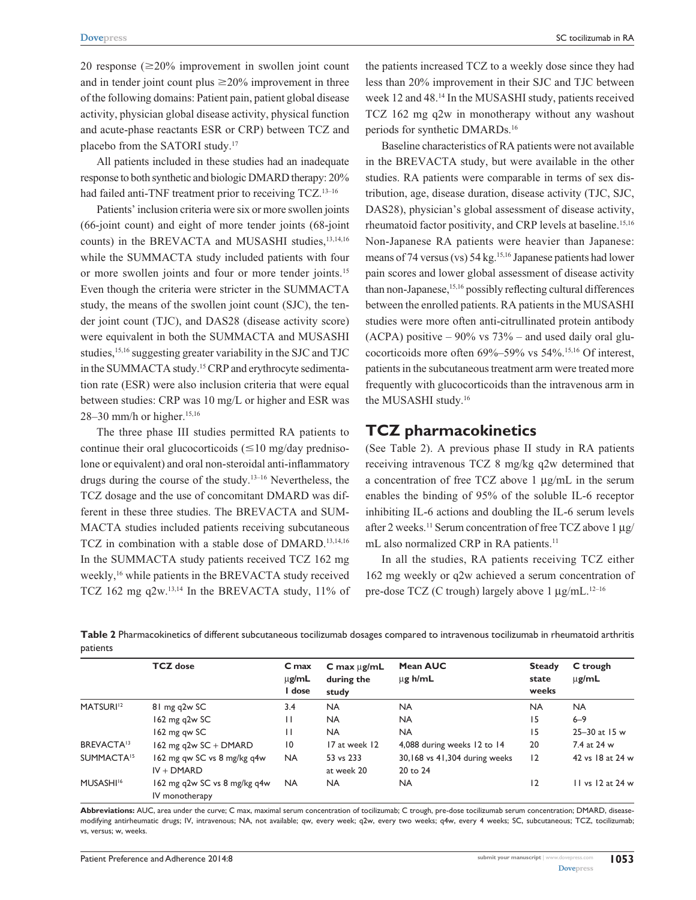20 response ( $\geq$ 20% improvement in swollen joint count and in tender joint count plus  $\geq$ 20% improvement in three of the following domains: Patient pain, patient global disease activity, physician global disease activity, physical function and acute-phase reactants ESR or CRP) between TCZ and placebo from the SATORI study.17

All patients included in these studies had an inadequate response to both synthetic and biologic DMARD therapy: 20% had failed anti-TNF treatment prior to receiving TCZ.<sup>13–16</sup>

Patients' inclusion criteria were six or more swollen joints (66-joint count) and eight of more tender joints (68-joint counts) in the BREVACTA and MUSASHI studies,<sup>13,14,16</sup> while the SUMMACTA study included patients with four or more swollen joints and four or more tender joints.<sup>15</sup> Even though the criteria were stricter in the SUMMACTA study, the means of the swollen joint count (SJC), the tender joint count (TJC), and DAS28 (disease activity score) were equivalent in both the SUMMACTA and MUSASHI studies,<sup>15,16</sup> suggesting greater variability in the SJC and TJC in the SUMMACTA study.<sup>15</sup> CRP and erythrocyte sedimentation rate (ESR) were also inclusion criteria that were equal between studies: CRP was 10 mg/L or higher and ESR was 28–30 mm/h or higher. $15,16$ 

The three phase III studies permitted RA patients to continue their oral glucocorticoids  $(\leq 10 \text{ mg/day})$  prednisolone or equivalent) and oral non-steroidal anti-inflammatory drugs during the course of the study.13–16 Nevertheless, the TCZ dosage and the use of concomitant DMARD was different in these three studies. The BREVACTA and SUM-MACTA studies included patients receiving subcutaneous TCZ in combination with a stable dose of DMARD.13,14,16 In the SUMMACTA study patients received TCZ 162 mg weekly,<sup>16</sup> while patients in the BREVACTA study received TCZ 162 mg q2w.13,14 In the BREVACTA study, 11% of the patients increased TCZ to a weekly dose since they had less than 20% improvement in their SJC and TJC between week 12 and 48.14 In the MUSASHI study, patients received TCZ 162 mg q2w in monotherapy without any washout periods for synthetic DMARDs.16

Baseline characteristics of RA patients were not available in the BREVACTA study, but were available in the other studies. RA patients were comparable in terms of sex distribution, age, disease duration, disease activity (TJC, SJC, DAS28), physician's global assessment of disease activity, rheumatoid factor positivity, and CRP levels at baseline.15,16 Non-Japanese RA patients were heavier than Japanese: means of 74 versus (vs)  $54 \text{ kg}$ .<sup>15,16</sup> Japanese patients had lower pain scores and lower global assessment of disease activity than non-Japanese,15,16 possibly reflecting cultural differences between the enrolled patients. RA patients in the MUSASHI studies were more often anti-citrullinated protein antibody (ACPA) positive  $-90\%$  vs  $73\%$  – and used daily oral glucocorticoids more often 69%–59% vs 54%.15,16 Of interest, patients in the subcutaneous treatment arm were treated more frequently with glucocorticoids than the intravenous arm in the MUSASHI study.16

### **TCZ pharmacokinetics**

(See Table 2). A previous phase II study in RA patients receiving intravenous TCZ 8 mg/kg q2w determined that a concentration of free TCZ above 1 μg/mL in the serum enables the binding of 95% of the soluble IL-6 receptor inhibiting IL-6 actions and doubling the IL-6 serum levels after 2 weeks.11 Serum concentration of free TCZ above 1 μg/ mL also normalized CRP in RA patients.<sup>11</sup>

In all the studies, RA patients receiving TCZ either 162 mg weekly or q2w achieved a serum concentration of pre-dose TCZ (C trough) largely above 1 μg/mL.<sup>12-16</sup>

**Table 2** Pharmacokinetics of different subcutaneous tocilizumab dosages compared to intravenous tocilizumab in rheumatoid arthritis patients

|                              | <b>TCZ</b> dose                                | C max<br>$\mu$ g/mL<br>I dose | C max $\mu$ g/mL<br>during the<br>study | <b>Mean AUC</b><br>$\mu$ g h/mL           | <b>Steady</b><br>state<br>weeks | C trough<br>$\mu$ g/mL |
|------------------------------|------------------------------------------------|-------------------------------|-----------------------------------------|-------------------------------------------|---------------------------------|------------------------|
| MATSURI <sup>12</sup>        | 81 mg q2w SC                                   | 3.4                           | <b>NA</b>                               | <b>NA</b>                                 | <b>NA</b>                       | <b>NA</b>              |
|                              | 162 mg q2w SC                                  | Ш                             | <b>NA</b>                               | <b>NA</b>                                 | 15                              | $6 - 9$                |
|                              | 162 mg qw SC                                   | Ш                             | <b>NA</b>                               | <b>NA</b>                                 | 15                              | 25-30 at 15 w          |
| <b>BREVACTA<sup>13</sup></b> | 162 mg q2w $SC + DMARD$                        | $\overline{10}$               | 17 at week 12                           | 4,088 during weeks 12 to 14               | 20                              | 7.4 at 24 w            |
| SUMMACTA <sup>15</sup>       | 162 mg qw SC vs 8 mg/kg q4w<br>$IV + DMARD$    | <b>NA</b>                     | 53 vs 233<br>at week 20                 | 30,168 vs 41,304 during weeks<br>20 to 24 | 12                              | 42 vs 18 at 24 w       |
| MUSASHI <sup>16</sup>        | 162 mg q2w SC vs 8 mg/kg q4w<br>IV monotherapy | <b>NA</b>                     | <b>NA</b>                               | <b>NA</b>                                 | 12                              | 11 vs 12 at 24 w       |

Abbreviations: AUC, area under the curve; C max, maximal serum concentration of tocilizumab; C trough, pre-dose tocilizumab serum concentration; DMARD, diseasemodifying antirheumatic drugs; IV, intravenous; NA, not available; qw, every week; q2w, every two weeks; q4w, every 4 weeks; SC, subcutaneous; TCZ, tocilizumab; vs, versus; w, weeks.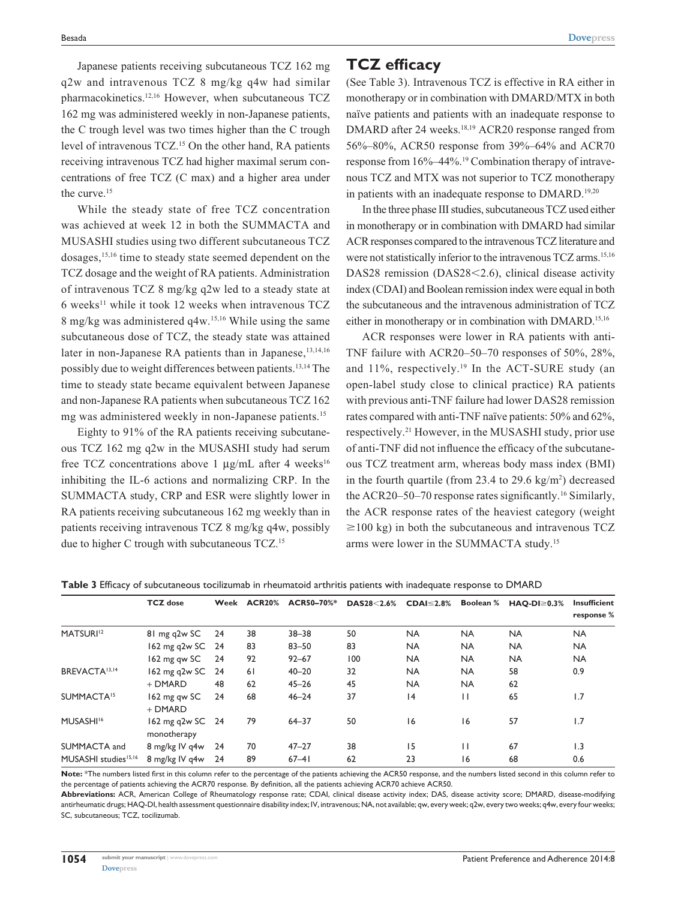Japanese patients receiving subcutaneous TCZ 162 mg q2w and intravenous TCZ 8 mg/kg q4w had similar pharmacokinetics.12,16 However, when subcutaneous TCZ 162 mg was administered weekly in non-Japanese patients, the C trough level was two times higher than the C trough level of intravenous TCZ.15 On the other hand, RA patients receiving intravenous TCZ had higher maximal serum concentrations of free TCZ (C max) and a higher area under the curve.<sup>15</sup>

While the steady state of free TCZ concentration was achieved at week 12 in both the SUMMACTA and MUSASHI studies using two different subcutaneous TCZ dosages,15,16 time to steady state seemed dependent on the TCZ dosage and the weight of RA patients. Administration of intravenous TCZ 8 mg/kg q2w led to a steady state at  $6$  weeks<sup>11</sup> while it took 12 weeks when intravenous TCZ 8 mg/kg was administered q4w.15,16 While using the same subcutaneous dose of TCZ, the steady state was attained later in non-Japanese RA patients than in Japanese, $13,14,16$ possibly due to weight differences between patients.13,14 The time to steady state became equivalent between Japanese and non-Japanese RA patients when subcutaneous TCZ 162 mg was administered weekly in non-Japanese patients.15

Eighty to 91% of the RA patients receiving subcutaneous TCZ 162 mg q2w in the MUSASHI study had serum free TCZ concentrations above 1  $\mu$ g/mL after 4 weeks<sup>16</sup> inhibiting the IL-6 actions and normalizing CRP. In the SUMMACTA study, CRP and ESR were slightly lower in RA patients receiving subcutaneous 162 mg weekly than in patients receiving intravenous TCZ 8 mg/kg q4w, possibly due to higher C trough with subcutaneous TCZ.<sup>15</sup>

# **TCZ efficacy**

(See Table 3). Intravenous TCZ is effective in RA either in monotherapy or in combination with DMARD/MTX in both naïve patients and patients with an inadequate response to DMARD after 24 weeks.<sup>18,19</sup> ACR20 response ranged from 56%–80%, ACR50 response from 39%–64% and ACR70 response from 16%–44%.<sup>19</sup> Combination therapy of intravenous TCZ and MTX was not superior to TCZ monotherapy in patients with an inadequate response to DMARD.<sup>19,20</sup>

In the three phase III studies, subcutaneous TCZ used either in monotherapy or in combination with DMARD had similar ACR responses compared to the intravenous TCZ literature and were not statistically inferior to the intravenous TCZ arms.<sup>15,16</sup> DAS28 remission (DAS28 $<$ 2.6), clinical disease activity index (CDAI) and Boolean remission index were equal in both the subcutaneous and the intravenous administration of TCZ either in monotherapy or in combination with DMARD.<sup>15,16</sup>

ACR responses were lower in RA patients with anti-TNF failure with ACR20–50–70 responses of 50%, 28%, and 11%, respectively.<sup>19</sup> In the ACT-SURE study (an open-label study close to clinical practice) RA patients with previous anti-TNF failure had lower DAS28 remission rates compared with anti-TNF naïve patients: 50% and 62%, respectively.21 However, in the MUSASHI study, prior use of anti-TNF did not influence the efficacy of the subcutaneous TCZ treatment arm, whereas body mass index (BMI) in the fourth quartile (from 23.4 to 29.6  $\text{kg/m}^2$ ) decreased the ACR20–50–70 response rates significantly.<sup>16</sup> Similarly, the ACR response rates of the heaviest category (weight  $\geq$ 100 kg) in both the subcutaneous and intravenous TCZ arms were lower in the SUMMACTA study.15

|                                  | <b>TCZ</b> dose                    | Week | <b>ACR20%</b> | ACR50-70%* | DAS28<2.6% | $CDAI \leq 2.8\%$ | Boolean %    | $HAQ-DI \geq 0.3%$ | Insufficient |
|----------------------------------|------------------------------------|------|---------------|------------|------------|-------------------|--------------|--------------------|--------------|
|                                  |                                    |      |               |            |            |                   |              |                    | response %   |
| MATSURI <sup>12</sup>            | 81 mg q2w SC                       | 24   | 38            | $38 - 38$  | 50         | <b>NA</b>         | <b>NA</b>    | <b>NA</b>          | <b>NA</b>    |
|                                  | 162 mg q2w SC 24                   |      | 83            | $83 - 50$  | 83         | <b>NA</b>         | <b>NA</b>    | <b>NA</b>          | <b>NA</b>    |
|                                  | 162 mg qw SC                       | - 24 | 92            | $92 - 67$  | 100        | <b>NA</b>         | <b>NA</b>    | <b>NA</b>          | <b>NA</b>    |
| BREVACTA <sup>13,14</sup>        | 162 mg q2w SC 24                   |      | 61            | $40 - 20$  | 32         | <b>NA</b>         | <b>NA</b>    | 58                 | 0.9          |
|                                  | $+$ DMARD                          | 48   | 62            | $45 - 26$  | 45         | <b>NA</b>         | <b>NA</b>    | 62                 |              |
| SUMMACTA <sup>15</sup>           | 162 mg qw SC<br>+ DMARD            | -24  | 68            | $46 - 24$  | 37         | $\overline{14}$   | Ш            | 65                 | 1.7          |
| MUSASHI <sup>16</sup>            | 162 mg q $2w$ SC 24<br>monotherapy |      | 79            | $64 - 37$  | 50         | 16                | 16           | 57                 | 1.7          |
| SUMMACTA and                     | 8 mg/kg IV q4w                     | -24  | 70            | $47 - 27$  | 38         | 15                | $\mathbf{H}$ | 67                 | 1.3          |
| MUSASHI studies <sup>15,16</sup> | 8 mg/kg IV q4w 24                  |      | 89            | $67 - 41$  | 62         | 23                | 16           | 68                 | 0.6          |

**Table 3** Efficacy of subcutaneous tocilizumab in rheumatoid arthritis patients with inadequate response to DMARD

**Note:** \*The numbers listed first in this column refer to the percentage of the patients achieving the ACR50 response, and the numbers listed second in this column refer to the percentage of patients achieving the ACR70 response. By definition, all the patients achieving ACR70 achieve ACR50.

Abbreviations: ACR, American College of Rheumatology response rate; CDAI, clinical disease activity index; DAS, disease activity score; DMARD, disease-modifying antirheumatic drugs; HAQ-DI, health assessment questionnaire disability index; IV, intravenous; NA, not available; qw, every week; q2w, every two weeks; q4w, every four weeks; SC, subcutaneous; TCZ, tocilizumab.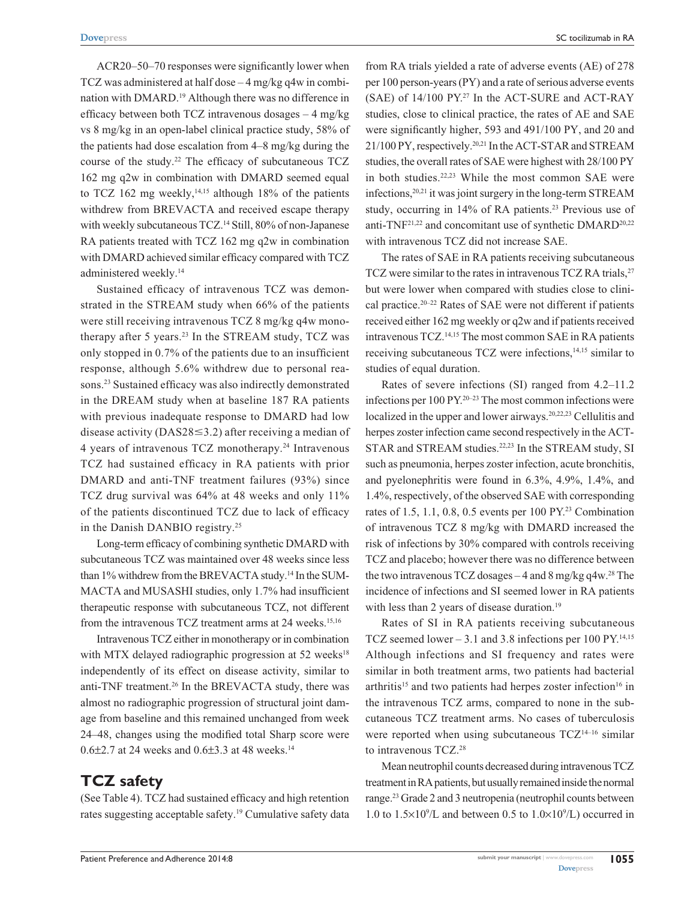ACR20–50–70 responses were significantly lower when TCZ was administered at half dose – 4 mg/kg q4w in combination with DMARD.19 Although there was no difference in efficacy between both TCZ intravenous dosages – 4 mg/kg vs 8 mg/kg in an open-label clinical practice study, 58% of the patients had dose escalation from 4–8 mg/kg during the course of the study.<sup>22</sup> The efficacy of subcutaneous  $TCZ$ 162 mg q2w in combination with DMARD seemed equal to TCZ 162 mg weekly, $14,15$  although 18% of the patients withdrew from BREVACTA and received escape therapy with weekly subcutaneous TCZ.14 Still, 80% of non-Japanese RA patients treated with TCZ 162 mg q2w in combination with DMARD achieved similar efficacy compared with TCZ administered weekly.14

Sustained efficacy of intravenous TCZ was demonstrated in the STREAM study when 66% of the patients were still receiving intravenous TCZ 8 mg/kg q4w monotherapy after 5 years.<sup>23</sup> In the STREAM study, TCZ was only stopped in 0.7% of the patients due to an insufficient response, although 5.6% withdrew due to personal reasons.23 Sustained efficacy was also indirectly demonstrated in the DREAM study when at baseline 187 RA patients with previous inadequate response to DMARD had low disease activity ( $DAS28 \leq 3.2$ ) after receiving a median of 4 years of intravenous TCZ monotherapy.24 Intravenous TCZ had sustained efficacy in RA patients with prior DMARD and anti-TNF treatment failures (93%) since TCZ drug survival was 64% at 48 weeks and only 11% of the patients discontinued TCZ due to lack of efficacy in the Danish DANBIO registry.25

Long-term efficacy of combining synthetic DMARD with subcutaneous TCZ was maintained over 48 weeks since less than 1% withdrew from the BREVACTA study.<sup>14</sup> In the SUM-MACTA and MUSASHI studies, only 1.7% had insufficient therapeutic response with subcutaneous TCZ, not different from the intravenous TCZ treatment arms at 24 weeks.<sup>15,16</sup>

Intravenous TCZ either in monotherapy or in combination with MTX delayed radiographic progression at 52 weeks<sup>18</sup> independently of its effect on disease activity, similar to anti-TNF treatment.<sup>26</sup> In the BREVACTA study, there was almost no radiographic progression of structural joint damage from baseline and this remained unchanged from week 24–48, changes using the modified total Sharp score were 0.6±2.7 at 24 weeks and 0.6±3.3 at 48 weeks.14

# **TCZ safety**

(See Table 4). TCZ had sustained efficacy and high retention rates suggesting acceptable safety.19 Cumulative safety data from RA trials yielded a rate of adverse events (AE) of 278 per 100 person-years (PY) and a rate of serious adverse events (SAE) of 14/100 PY.27 In the ACT-SURE and ACT-RAY studies, close to clinical practice, the rates of AE and SAE were significantly higher, 593 and 491/100 PY, and 20 and 21/100 PY, respectively.20,21 In the ACT-STAR and STREAM studies, the overall rates of SAE were highest with 28/100 PY in both studies. $22,23$  While the most common SAE were infections,20,21 it was joint surgery in the long-term STREAM study, occurring in 14% of RA patients.<sup>23</sup> Previous use of anti-TNF21,22 and concomitant use of synthetic DMARD20,22 with intravenous TCZ did not increase SAE.

The rates of SAE in RA patients receiving subcutaneous TCZ were similar to the rates in intravenous TCZ RA trials,<sup>27</sup> but were lower when compared with studies close to clinical practice.<sup>20–22</sup> Rates of SAE were not different if patients received either 162 mg weekly or q2w and if patients received intravenous TCZ.14,15 The most common SAE in RA patients receiving subcutaneous TCZ were infections,14,15 similar to studies of equal duration.

Rates of severe infections (SI) ranged from 4.2–11.2 infections per 100 PY.20–23 The most common infections were localized in the upper and lower airways.<sup>20,22,23</sup> Cellulitis and herpes zoster infection came second respectively in the ACT-STAR and STREAM studies.<sup>22,23</sup> In the STREAM study, SI such as pneumonia, herpes zoster infection, acute bronchitis, and pyelonephritis were found in 6.3%, 4.9%, 1.4%, and 1.4%, respectively, of the observed SAE with corresponding rates of 1.5, 1.1, 0.8, 0.5 events per 100 PY.23 Combination of intravenous TCZ 8 mg/kg with DMARD increased the risk of infections by 30% compared with controls receiving TCZ and placebo; however there was no difference between the two intravenous TCZ dosages  $-4$  and 8 mg/kg q4w.<sup>28</sup> The incidence of infections and SI seemed lower in RA patients with less than 2 years of disease duration.<sup>19</sup>

Rates of SI in RA patients receiving subcutaneous TCZ seemed lower – 3.1 and 3.8 infections per 100 PY.<sup>14,15</sup> Although infections and SI frequency and rates were similar in both treatment arms, two patients had bacterial arthritis<sup>15</sup> and two patients had herpes zoster infection<sup>16</sup> in the intravenous TCZ arms, compared to none in the subcutaneous TCZ treatment arms. No cases of tuberculosis were reported when using subcutaneous  $T C Z^{14-16}$  similar to intravenous TCZ.28

Mean neutrophil counts decreased during intravenous TCZ treatment in RA patients, but usually remained inside the normal range.23 Grade 2 and 3 neutropenia (neutrophil counts between 1.0 to  $1.5 \times 10^9$ /L and between 0.5 to  $1.0 \times 10^9$ /L) occurred in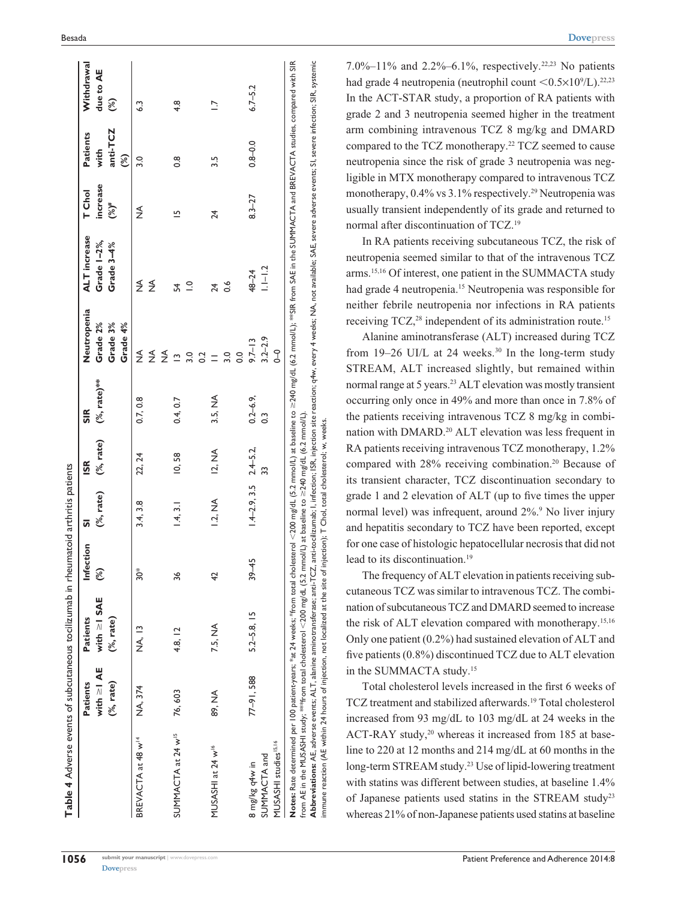|                                                                                                                                                                                                                                                                                                                                                       | Patients         | Patients          | Infection               | ភ                        | ISR        | $\frac{1}{5}$  | Neutropenia      | <b>ALT</b> increase | T Chol     | Patients      | Withdrawal       |
|-------------------------------------------------------------------------------------------------------------------------------------------------------------------------------------------------------------------------------------------------------------------------------------------------------------------------------------------------------|------------------|-------------------|-------------------------|--------------------------|------------|----------------|------------------|---------------------|------------|---------------|------------------|
|                                                                                                                                                                                                                                                                                                                                                       | with $\geq$   AE | with $\geq$ I SAE | $\mathcal{\mathcal{E}}$ | (%, rate)                | (% , rate) | (%, rate)***   | Grade 2%         | Grade I-2%,         | increase   | with          | due to AE        |
|                                                                                                                                                                                                                                                                                                                                                       | (% , rate)       | (%, rate)         |                         |                          |            |                | Grade 3%         | Grade 3-4%          | $(%)^*$    | anti-TCZ      | (%)              |
|                                                                                                                                                                                                                                                                                                                                                       |                  |                   |                         |                          |            |                | Grade 4%         |                     |            | (%)           |                  |
| BREVACTA at 48 w <sup>14</sup>                                                                                                                                                                                                                                                                                                                        | NA, 374          | NA, 13            | ప్లే                    | 3.4, 3.8                 | 22, 24     | 0.7, 0.8       | ≸                | ≸                   | ≸          | $\frac{0}{3}$ | ි                |
|                                                                                                                                                                                                                                                                                                                                                       |                  |                   |                         |                          |            |                | $\frac{1}{2}$    | ≸                   |            |               |                  |
|                                                                                                                                                                                                                                                                                                                                                       |                  |                   |                         |                          |            |                | ≸                |                     |            |               |                  |
| SUMMACTA at 24 w <sup>15</sup>                                                                                                                                                                                                                                                                                                                        | 76,603           | 4.8, 12           | ೫                       | 14.3.1                   | 10,58      | 0.4, 0.7       | $\tilde{=}$      | 54                  | Ľ          | $\frac{8}{1}$ | $4.\overline{8}$ |
|                                                                                                                                                                                                                                                                                                                                                       |                  |                   |                         |                          |            |                | $\overline{3.0}$ |                     |            |               |                  |
|                                                                                                                                                                                                                                                                                                                                                       |                  |                   |                         |                          |            |                | $\overline{0}$   |                     |            |               |                  |
| MUSASHI at 24 w <sup>16</sup>                                                                                                                                                                                                                                                                                                                         | 89, NA           | 7.5, NA           | 42                      | 1.2, NA                  | 12, NA     | 3.5, NA        |                  | 24                  | 24         | 3.5           |                  |
|                                                                                                                                                                                                                                                                                                                                                       |                  |                   |                         |                          |            |                | $\frac{0}{3}$    | $\frac{6}{5}$       |            |               |                  |
|                                                                                                                                                                                                                                                                                                                                                       |                  |                   |                         |                          |            |                | $\frac{0}{2}$    |                     |            |               |                  |
| 8 mg/kg q4w in                                                                                                                                                                                                                                                                                                                                        | $77 - 91.588$    | $5.2 - 5.8$ , 15  | $39 - 45$               | $1.4-2.9, 3.5$ $2.4-5.2$ |            | $0.2 - 6.9$ ,  | $9.7 - 13$       | 48-24               | $8.3 - 27$ | $0.8 - 0.0$   | $6.7 - 5.2$      |
| SUMMACTA and                                                                                                                                                                                                                                                                                                                                          |                  |                   |                         |                          |            | $\ddot{\rm o}$ | $3.2 - 2.9$      | $1.1 - 1.2$         |            |               |                  |
| MUSASHI studies <sup>15,16</sup>                                                                                                                                                                                                                                                                                                                      |                  |                   |                         |                          |            |                | 9<br>J           |                     |            |               |                  |
| Notes: Rate determined per 100 patient-years; *at 24 weeks; "from total cholesterol <200 mg/dL (5.2 mmo/lL) at baseline to ≥240 mg/dL (6.2 mmo/lL); **SIR from SAE in the SUMMACTA and BREVACTA studies, compared with SIR<br>from AE in the MUSASHI study; ***from total cholesterol <200 mg/dL (5.2 mmol/L) at baseline to ≥240 mg/dL (6.2 mmol/L). |                  |                   |                         |                          |            |                |                  |                     |            |               |                  |
| Abbreviations: AE, adverse events; ALT, alanine aminotransferase; anti-TCZ, anti-tocilizumab; I, infection; ISR, injection iste reaction; q4w, every 4 weeks; NA, not available; SAE, severe adverse events; SI, severe infect                                                                                                                        |                  |                   |                         |                          |            |                |                  |                     |            |               |                  |

| arms. <sup>15,16</sup> Of interest, one patient in the SUMMACTA study               |
|-------------------------------------------------------------------------------------|
| had grade 4 neutropenia. <sup>15</sup> Neutropenia was responsible for              |
| neither febrile neutropenia nor infections in RA patients                           |
| receiving TCZ, <sup>28</sup> independent of its administration route. <sup>15</sup> |
| Alanine aminotransferase (ALT) increased during TCZ                                 |
| from $19-26$ UI/L at 24 weeks. <sup>30</sup> In the long-term study                 |
| STREAM, ALT increased slightly, but remained within                                 |
| normal range at 5 years. <sup>23</sup> ALT elevation was mostly transient           |
| occurring only once in 49% and more than once in 7.8% of                            |
| the patients receiving intravenous TCZ 8 mg/kg in combi-                            |
| nation with DMARD. <sup>20</sup> ALT elevation was less frequent in                 |
| RA patients receiving intravenous TCZ monotherapy, 1.2%                             |
| compared with 28% receiving combination. <sup>20</sup> Because of                   |
| its transient character, TCZ discontinuation secondary to                           |
| grade 1 and 2 elevation of ALT (up to five times the upper                          |
| normal level) was infrequent, around 2%. <sup>9</sup> No liver injury               |
| and hepatitis secondary to TCZ have been reported, except                           |
| for one case of histologic hepatocellular necrosis that did not                     |
| lead to its discontinuation. <sup>19</sup>                                          |
|                                                                                     |

normal after discontinuation of TCZ.19

7.0%–11% and 2.2%–6.1%, respectively.<sup>22,23</sup> No patients had grade 4 neutropenia (neutrophil count  $\langle 0.5 \times 10^9 \rangle L$ ).<sup>22,23</sup> In the ACT-STAR study, a proportion of RA patients with grade 2 and 3 neutropenia seemed higher in the treatment arm combining intravenous TCZ 8 mg/kg and DMARD compared to the TCZ monotherapy.<sup>22</sup> TCZ seemed to cause neutropenia since the risk of grade 3 neutropenia was negligible in MTX monotherapy compared to intravenous TCZ monotherapy, 0.4% vs 3.1% respectively.<sup>29</sup> Neutropenia was usually transient independently of its grade and returned to

In RA patients receiving subcutaneous TCZ, the risk of neutropenia seemed similar to that of the intravenous TCZ

The frequency of ALT elevation in patients receiving subcutaneous TCZ was similar to intravenous TCZ. The combination of subcutaneous TCZ and DMARD seemed to increase the risk of ALT elevation compared with monotherapy.15,16 Only one patient (0.2%) had sustained elevation of ALT and five patients (0.8%) discontinued TCZ due to ALT elevation in the SUMMACTA study.15

immune reaction (AE within 24 hours of injection, not localized at the site of injection); T Chol, total cholesterol; w, weeks.

immune reaction (AE within 24 hours of injection, not localized at the site of injection); T Chol, total cholesterol; w, weeks.

 $\mathbf{r}$ 

Total cholesterol levels increased in the first 6 weeks of TCZ treatment and stabilized afterwards.19 Total cholesterol increased from 93 mg/dL to 103 mg/dL at 24 weeks in the ACT-RAY study,<sup>20</sup> whereas it increased from 185 at baseline to 220 at 12 months and 214 mg/dL at 60 months in the long-term STREAM study.<sup>23</sup> Use of lipid-lowering treatment with statins was different between studies, at baseline 1.4% of Japanese patients used statins in the STREAM study23 whereas 21% of non-Japanese patients used statins at baseline

 $\mathbf{r}$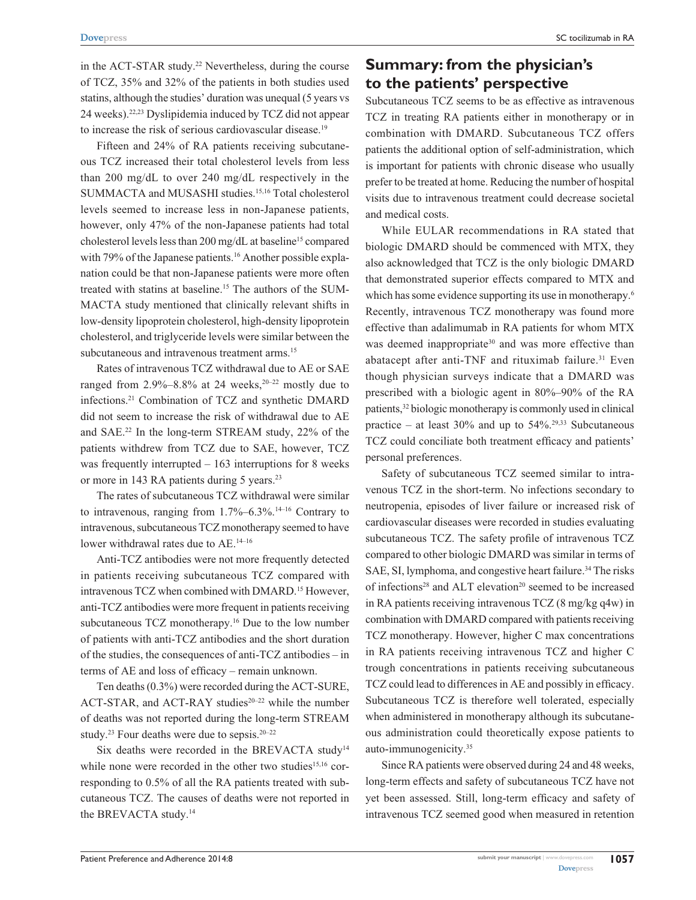in the ACT-STAR study.<sup>22</sup> Nevertheless, during the course of TCZ, 35% and 32% of the patients in both studies used statins, although the studies' duration was unequal (5 years vs 24 weeks).22,23 Dyslipidemia induced by TCZ did not appear to increase the risk of serious cardiovascular disease.<sup>19</sup>

Fifteen and 24% of RA patients receiving subcutaneous TCZ increased their total cholesterol levels from less than 200 mg/dL to over 240 mg/dL respectively in the SUMMACTA and MUSASHI studies.15,16 Total cholesterol levels seemed to increase less in non-Japanese patients, however, only 47% of the non-Japanese patients had total cholesterol levels less than 200 mg/dL at baseline<sup>15</sup> compared with 79% of the Japanese patients.<sup>16</sup> Another possible explanation could be that non-Japanese patients were more often treated with statins at baseline.15 The authors of the SUM-MACTA study mentioned that clinically relevant shifts in low-density lipoprotein cholesterol, high-density lipoprotein cholesterol, and triglyceride levels were similar between the subcutaneous and intravenous treatment arms.<sup>15</sup>

Rates of intravenous TCZ withdrawal due to AE or SAE ranged from  $2.9\% - 8.8\%$  at 24 weeks,<sup>20-22</sup> mostly due to infections.21 Combination of TCZ and synthetic DMARD did not seem to increase the risk of withdrawal due to AE and SAE.22 In the long-term STREAM study, 22% of the patients withdrew from TCZ due to SAE, however, TCZ was frequently interrupted  $-163$  interruptions for 8 weeks or more in 143 RA patients during 5 years.<sup>23</sup>

The rates of subcutaneous TCZ withdrawal were similar to intravenous, ranging from  $1.7\%$ –6.3%.<sup>14–16</sup> Contrary to intravenous, subcutaneous TCZ monotherapy seemed to have lower withdrawal rates due to AE.<sup>14-16</sup>

Anti-TCZ antibodies were not more frequently detected in patients receiving subcutaneous TCZ compared with intravenous TCZ when combined with DMARD.15 However, anti-TCZ antibodies were more frequent in patients receiving subcutaneous TCZ monotherapy.16 Due to the low number of patients with anti-TCZ antibodies and the short duration of the studies, the consequences of anti-TCZ antibodies – in terms of AE and loss of efficacy – remain unknown.

Ten deaths (0.3%) were recorded during the ACT-SURE, ACT-STAR, and ACT-RAY studies<sup>20-22</sup> while the number of deaths was not reported during the long-term STREAM study.<sup>23</sup> Four deaths were due to sepsis.<sup>20–22</sup>

Six deaths were recorded in the BREVACTA study<sup>14</sup> while none were recorded in the other two studies<sup>15,16</sup> corresponding to 0.5% of all the RA patients treated with subcutaneous TCZ. The causes of deaths were not reported in the BREVACTA study.14

# **Summary: from the physician's to the patients' perspective**

Subcutaneous TCZ seems to be as effective as intravenous TCZ in treating RA patients either in monotherapy or in combination with DMARD. Subcutaneous TCZ offers patients the additional option of self-administration, which is important for patients with chronic disease who usually prefer to be treated at home. Reducing the number of hospital visits due to intravenous treatment could decrease societal and medical costs.

While EULAR recommendations in RA stated that biologic DMARD should be commenced with MTX, they also acknowledged that TCZ is the only biologic DMARD that demonstrated superior effects compared to MTX and which has some evidence supporting its use in monotherapy.<sup>6</sup> Recently, intravenous TCZ monotherapy was found more effective than adalimumab in RA patients for whom MTX was deemed inappropriate<sup>30</sup> and was more effective than abatacept after anti-TNF and rituximab failure.<sup>31</sup> Even though physician surveys indicate that a DMARD was prescribed with a biologic agent in 80%–90% of the RA patients,32 biologic monotherapy is commonly used in clinical practice – at least  $30\%$  and up to  $54\%$ <sup>29,33</sup> Subcutaneous TCZ could conciliate both treatment efficacy and patients' personal preferences.

Safety of subcutaneous TCZ seemed similar to intravenous TCZ in the short-term. No infections secondary to neutropenia, episodes of liver failure or increased risk of cardiovascular diseases were recorded in studies evaluating subcutaneous TCZ. The safety profile of intravenous TCZ compared to other biologic DMARD was similar in terms of SAE, SI, lymphoma, and congestive heart failure.<sup>34</sup> The risks of infections<sup>28</sup> and ALT elevation<sup>20</sup> seemed to be increased in RA patients receiving intravenous TCZ (8 mg/kg q4w) in combination with DMARD compared with patients receiving TCZ monotherapy. However, higher C max concentrations in RA patients receiving intravenous TCZ and higher C trough concentrations in patients receiving subcutaneous TCZ could lead to differences in AE and possibly in efficacy. Subcutaneous TCZ is therefore well tolerated, especially when administered in monotherapy although its subcutaneous administration could theoretically expose patients to auto-immunogenicity.35

Since RA patients were observed during 24 and 48 weeks, long-term effects and safety of subcutaneous TCZ have not yet been assessed. Still, long-term efficacy and safety of intravenous TCZ seemed good when measured in retention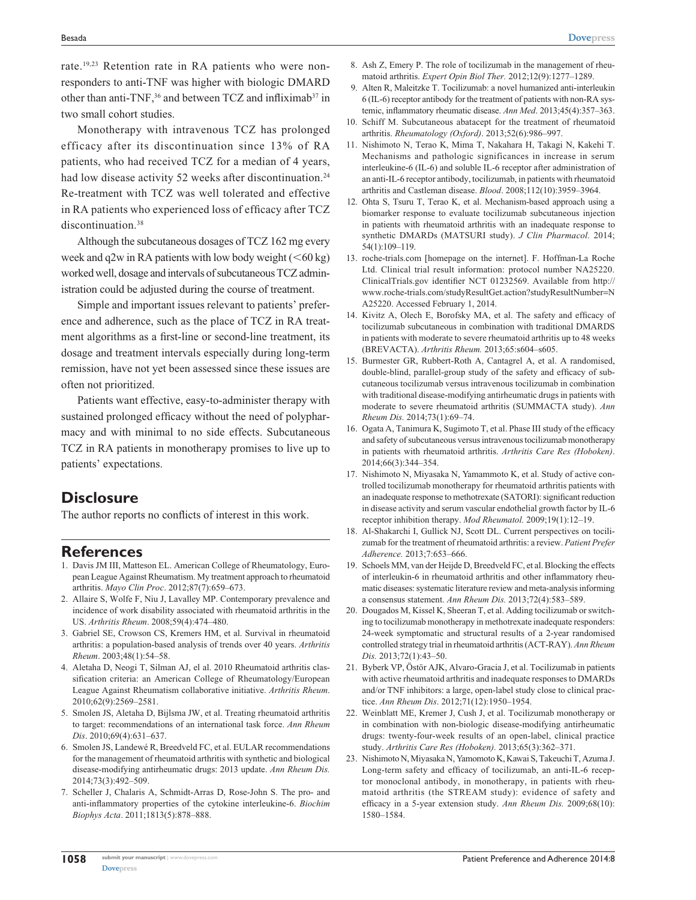rate.19,23 Retention rate in RA patients who were nonresponders to anti-TNF was higher with biologic DMARD other than anti-TNF,<sup>36</sup> and between TCZ and infliximab<sup>37</sup> in two small cohort studies.

Monotherapy with intravenous TCZ has prolonged efficacy after its discontinuation since 13% of RA patients, who had received TCZ for a median of 4 years, had low disease activity 52 weeks after discontinuation.<sup>24</sup> Re-treatment with TCZ was well tolerated and effective in RA patients who experienced loss of efficacy after TCZ discontinuation.<sup>38</sup>

Although the subcutaneous dosages of TCZ 162 mg every week and  $q2w$  in RA patients with low body weight ( $\leq 60 \text{ kg}$ ) worked well, dosage and intervals of subcutaneous TCZ administration could be adjusted during the course of treatment.

Simple and important issues relevant to patients' preference and adherence, such as the place of TCZ in RA treatment algorithms as a first-line or second-line treatment, its dosage and treatment intervals especially during long-term remission, have not yet been assessed since these issues are often not prioritized.

Patients want effective, easy-to-administer therapy with sustained prolonged efficacy without the need of polypharmacy and with minimal to no side effects. Subcutaneous TCZ in RA patients in monotherapy promises to live up to patients' expectations.

## **Disclosure**

The author reports no conflicts of interest in this work.

## **References**

- 1. Davis JM III, Matteson EL. American College of Rheumatology, European League Against Rheumatism. My treatment approach to rheumatoid arthritis. *Mayo Clin Proc*. 2012;87(7):659–673.
- 2. Allaire S, Wolfe F, Niu J, Lavalley MP. Contemporary prevalence and incidence of work disability associated with rheumatoid arthritis in the US. *Arthritis Rheum*. 2008;59(4):474–480.
- 3. Gabriel SE, Crowson CS, Kremers HM, et al. Survival in rheumatoid arthritis: a population-based analysis of trends over 40 years. *Arthritis Rheum*. 2003;48(1):54–58.
- 4. Aletaha D, Neogi T, Silman AJ, el al. 2010 Rheumatoid arthritis classification criteria: an American College of Rheumatology/European League Against Rheumatism collaborative initiative. *Arthritis Rheum*. 2010;62(9):2569–2581.
- 5. Smolen JS, Aletaha D, Bijlsma JW, et al. Treating rheumatoid arthritis to target: recommendations of an international task force. *Ann Rheum Dis*. 2010;69(4):631–637.
- 6. Smolen JS, Landewé R, Breedveld FC, et al. EULAR recommendations for the management of rheumatoid arthritis with synthetic and biological disease-modifying antirheumatic drugs: 2013 update. *Ann Rheum Dis.* 2014;73(3):492–509.
- 7. Scheller J, Chalaris A, Schmidt-Arras D, Rose-John S. The pro- and anti-inflammatory properties of the cytokine interleukine-6. *Biochim Biophys Acta*. 2011;1813(5):878–888.
- 8. Ash Z, Emery P. The role of tocilizumab in the management of rheumatoid arthritis. *Expert Opin Biol Ther.* 2012;12(9):1277–1289.
- 9. Alten R, Maleitzke T. Tocilizumab: a novel humanized anti-interleukin 6 (IL-6) receptor antibody for the treatment of patients with non-RA systemic, inflammatory rheumatic disease. *Ann Med*. 2013;45(4):357–363.
- 10. Schiff M. Subcutaneous abatacept for the treatment of rheumatoid arthritis. *Rheumatology (Oxford)*. 2013;52(6):986–997.
- 11. Nishimoto N, Terao K, Mima T, Nakahara H, Takagi N, Kakehi T. Mechanisms and pathologic significances in increase in serum interleukine-6 (IL-6) and soluble IL-6 receptor after administration of an anti-IL-6 receptor antibody, tocilizumab, in patients with rheumatoid arthritis and Castleman disease. *Blood*. 2008;112(10):3959–3964.
- 12. Ohta S, Tsuru T, Terao K, et al. Mechanism-based approach using a biomarker response to evaluate tocilizumab subcutaneous injection in patients with rheumatoid arthritis with an inadequate response to synthetic DMARDs (MATSURI study). *J Clin Pharmacol.* 2014; 54(1):109–119.
- 13. roche-trials.com [homepage on the internet]. F. Hoffman-La Roche Ltd. Clinical trial result information: protocol number NA25220. ClinicalTrials.gov identifier NCT 01232569. Available from http:// www.roche-trials.com/studyResultGet.action?studyResultNumber=N A25220. Accessed February 1, 2014.
- 14. Kivitz A, Olech E, Borofsky MA, et al. The safety and efficacy of tocilizumab subcutaneous in combination with traditional DMARDS in patients with moderate to severe rheumatoid arthritis up to 48 weeks (BREVACTA). *Arthritis Rheum.* 2013;65:s604–s605.
- 15. Burmester GR, Rubbert-Roth A, Cantagrel A, et al. A randomised, double-blind, parallel-group study of the safety and efficacy of subcutaneous tocilizumab versus intravenous tocilizumab in combination with traditional disease-modifying antirheumatic drugs in patients with moderate to severe rheumatoid arthritis (SUMMACTA study). *Ann Rheum Dis.* 2014;73(1):69–74.
- 16. Ogata A, Tanimura K, Sugimoto T, et al. Phase III study of the efficacy and safety of subcutaneous versus intravenous tocilizumab monotherapy in patients with rheumatoid arthritis. *Arthritis Care Res (Hoboken)*. 2014;66(3):344–354.
- 17. Nishimoto N, Miyasaka N, Yamammoto K, et al. Study of active controlled tocilizumab monotherapy for rheumatoid arthritis patients with an inadequate response to methotrexate (SATORI): significant reduction in disease activity and serum vascular endothelial growth factor by IL-6 receptor inhibition therapy. *Mod Rheumatol.* 2009;19(1):12–19.
- 18. Al-Shakarchi I, Gullick NJ, Scott DL. Current perspectives on tocilizumab for the treatment of rheumatoid arthritis: a review. *Patient Prefer Adherence.* 2013;7:653–666.
- 19. Schoels MM, van der Heijde D, Breedveld FC, et al. Blocking the effects of interleukin-6 in rheumatoid arthritis and other inflammatory rheumatic diseases: systematic literature review and meta-analysis informing a consensus statement. *Ann Rheum Dis.* 2013;72(4):583–589.
- 20. Dougados M, Kissel K, Sheeran T, et al. Adding tocilizumab or switching to tocilizumab monotherapy in methotrexate inadequate responders: 24-week symptomatic and structural results of a 2-year randomised controlled strategy trial in rheumatoid arthritis (ACT-RAY). *Ann Rheum Dis.* 2013;72(1):43–50.
- 21. Byberk VP, Östör AJK, Alvaro-Gracia J, et al. Tocilizumab in patients with active rheumatoid arthritis and inadequate responses to DMARDs and/or TNF inhibitors: a large, open-label study close to clinical practice. *Ann Rheum Dis*. 2012;71(12):1950–1954.
- 22. Weinblatt ME, Kremer J, Cush J, et al. Tocilizumab monotherapy or in combination with non-biologic disease-modifying antirheumatic drugs: twenty-four-week results of an open-label, clinical practice study. *Arthritis Care Res (Hoboken).* 2013;65(3):362–371.
- 23. Nishimoto N, Miyasaka N, Yamomoto K, Kawai S, Takeuchi T, Azuma J. Long-term safety and efficacy of tocilizumab, an anti-IL-6 receptor monoclonal antibody, in monotherapy, in patients with rheumatoid arthritis (the STREAM study): evidence of safety and efficacy in a 5-year extension study. *Ann Rheum Dis.* 2009;68(10): 1580–1584.